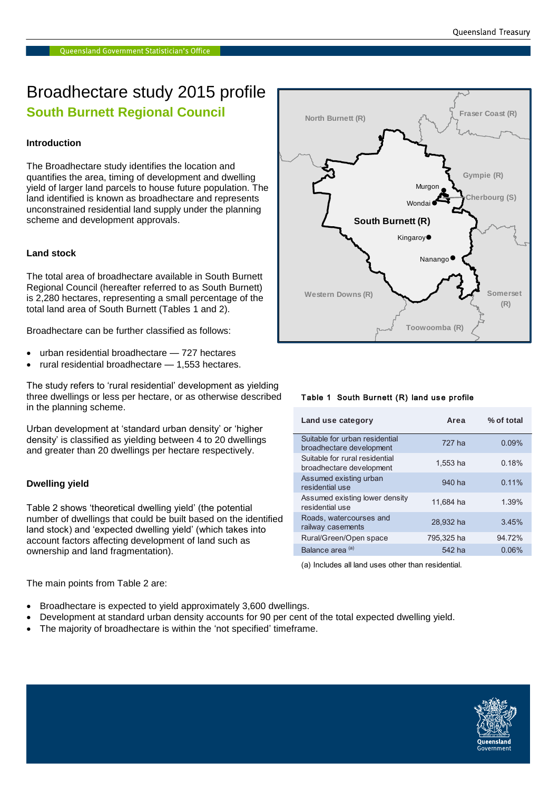### Broadhectare study 2015 profile **South Burnett Regional Council**

#### **Introduction**

The Broadhectare study identifies the location and quantifies the area, timing of development and dwelling yield of larger land parcels to house future population. The land identified is known as broadhectare and represents unconstrained residential land supply under the planning scheme and development approvals.

#### **Land stock**

The total area of broadhectare available in South Burnett Regional Council (hereafter referred to as South Burnett) is 2,280 hectares, representing a small percentage of the total land area of South Burnett (Tables 1 and 2).

Broadhectare can be further classified as follows:

- urban residential broadhectare 727 hectares
- rural residential broadhectare 1,553 hectares.

The study refers to 'rural residential' development as yielding three dwellings or less per hectare, or as otherwise described in the planning scheme.

Urban development at 'standard urban density' or 'higher density' is classified as yielding between 4 to 20 dwellings and greater than 20 dwellings per hectare respectively.

#### **Dwelling yield**

Table 2 shows 'theoretical dwelling yield' (the potential number of dwellings that could be built based on the identified land stock) and 'expected dwelling yield' (which takes into account factors affecting development of land such as ownership and land fragmentation).



#### Table 1 South Burnett (R) land use profile

| Land use category                                          | Area       | % of total |
|------------------------------------------------------------|------------|------------|
| Suitable for urban residential<br>broadhectare development | 727 ha     | 0.09%      |
| Suitable for rural residential<br>broadhectare development | 1.553 ha   | 0.18%      |
| Assumed existing urban<br>residential use                  | 940 ha     | $0.11\%$   |
| Assumed existing lower density<br>residential use          | 11,684 ha  | 1.39%      |
| Roads, watercourses and<br>railway casements               | 28,932 ha  | 3.45%      |
| Rural/Green/Open space                                     | 795.325 ha | 94.72%     |
| Balance area <sup>(a)</sup>                                | 542 ha     | 0.06%      |

(a) Includes all land uses other than residential.

The main points from Table 2 are:

- Broadhectare is expected to yield approximately 3,600 dwellings.
- Development at standard urban density accounts for 90 per cent of the total expected dwelling yield.
- The majority of broadhectare is within the 'not specified' timeframe.

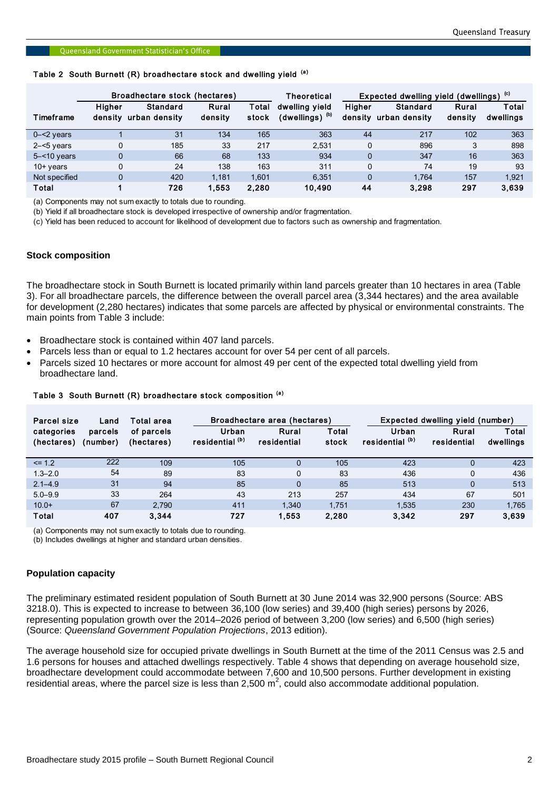## Queensland Government Statistician's Office<br>Table 2 South Burnett (R) broadhectare stock and dwelling yield <sup>(a)</sup>

|                        | Broadhectare stock (hectares) |                                                            |                  | <b>Theoretical</b> | (c)<br>Expected dwelling yield (dwellings) |                          |                           |                  |                           |
|------------------------|-------------------------------|------------------------------------------------------------|------------------|--------------------|--------------------------------------------|--------------------------|---------------------------|------------------|---------------------------|
| Timeframe              | Higher<br>density             | <b>Standard</b><br>urban density                           | Rural<br>density | Total<br>stock     | dwelling yield<br>(dwellings) $^{(b)}$     | <b>Higher</b><br>density | Standard<br>urban density | Rural<br>density | <b>Total</b><br>dwellings |
| $0 - 2$ years          |                               | 31                                                         | 134              | 165                | 363                                        | 44                       | 217                       | 102              | 363                       |
| $2 - 5$ years          | 0                             | 185                                                        | 33               | 217                | 2,531                                      | 0                        | 896                       | 3                | 898                       |
| $5 - 10$ years         | $\Omega$                      | 66                                                         | 68               | 133                | 934                                        | 0                        | 347                       | 16               | 363                       |
| $10+$ years            | 0                             | 24                                                         | 138              | 163                | 311                                        |                          | 74                        | 19               | 93                        |
| Not specified          | $\Omega$                      | 420                                                        | 1.181            | 1.601              | 6.351                                      | 0                        | 1.764                     | 157              | 1.921                     |
| Total<br>$\sim$ $\sim$ |                               | 726<br>$\mathbf{a}$ , and a set of the set of $\mathbf{a}$ | 1,553            | 2,280              | 10,490                                     | 44                       | 3,298                     | 297              | 3,639                     |

(a) Components may not sum exactly to totals due to rounding.

(b) Yield if all broadhectare stock is developed irrespective of ownership and/or fragmentation.

(c) Yield has been reduced to account for likelihood of development due to factors such as ownership and fragmentation.

#### **Stock composition**

The broadhectare stock in South Burnett is located primarily within land parcels greater than 10 hectares in area (Table 3). For all broadhectare parcels, the difference between the overall parcel area (3,344 hectares) and the area available for development (2,280 hectares) indicates that some parcels are affected by physical or environmental constraints. The main points from Table 3 include:

- Broadhectare stock is contained within 407 land parcels.
- Parcels less than or equal to 1.2 hectares account for over 54 per cent of all parcels.
- Parcels sized 10 hectares or more account for almost 49 per cent of the expected total dwelling yield from broadhectare land.

| Broadhectare area (hectares)<br>Total area<br>Parcel size<br>Land |                     |                          |                          | Expected dwelling yield (number) |                |                                     |                      |                           |
|-------------------------------------------------------------------|---------------------|--------------------------|--------------------------|----------------------------------|----------------|-------------------------------------|----------------------|---------------------------|
| categories<br>(hectares)                                          | parcels<br>(number) | of parcels<br>(hectares) | Urban<br>residential (b) | Rural<br>residential             | Total<br>stock | Urban<br>residential <sup>(b)</sup> | Rural<br>residential | <b>Total</b><br>dwellings |
| $\leq$ 1.2                                                        | 222                 | 109                      | 105                      | $\Omega$                         | 105            | 423                                 | 0                    | 423                       |
| $1.3 - 2.0$                                                       | 54                  | 89                       | 83                       | 0                                | 83             | 436                                 | 0                    | 436                       |
| $2.1 - 4.9$                                                       | 31                  | 94                       | 85                       | $\overline{0}$                   | 85             | 513                                 | $\Omega$             | 513                       |
| $5.0 - 9.9$                                                       | 33                  | 264                      | 43                       | 213                              | 257            | 434                                 | 67                   | 501                       |
| $10.0+$                                                           | 67                  | 2.790                    | 411                      | 1.340                            | 1.751          | 1.535                               | 230                  | 1.765                     |
| Total                                                             | 407                 | 3.344                    | 727                      | 1,553                            | 2,280          | 3,342                               | 297                  | 3,639                     |

#### Table 3 South Burnett (R) broadhectare stock composition (a)

(a) Components may not sum exactly to totals due to rounding.

(b) Includes dwellings at higher and standard urban densities.

#### **Population capacity**

The preliminary estimated resident population of South Burnett at 30 June 2014 was 32,900 persons (Source: ABS 3218.0). This is expected to increase to between 36,100 (low series) and 39,400 (high series) persons by 2026, representing population growth over the 2014–2026 period of between 3,200 (low series) and 6,500 (high series) (Source: *Queensland Government Population Projections*, 2013 edition).

The average household size for occupied private dwellings in South Burnett at the time of the 2011 Census was 2.5 and 1.6 persons for houses and attached dwellings respectively. Table 4 shows that depending on average household size, broadhectare development could accommodate between 7,600 and 10,500 persons. Further development in existing residential areas, where the parcel size is less than 2,500 m<sup>2</sup>, could also accommodate additional population.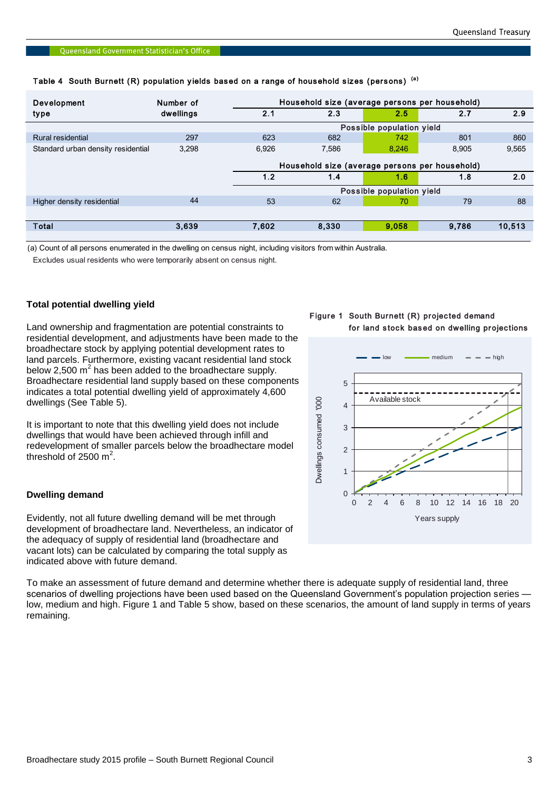| Development                        | Number of |       | Household size (average persons per household) |       |       |        |  |  |  |
|------------------------------------|-----------|-------|------------------------------------------------|-------|-------|--------|--|--|--|
| type                               | dwellings | 2.1   | 2.3                                            | 2.5   | 2.7   | 2.9    |  |  |  |
|                                    |           |       | Possible population yield                      |       |       |        |  |  |  |
| Rural residential                  | 297       | 623   | 682                                            | 742   | 801   | 860    |  |  |  |
| Standard urban density residential | 3,298     | 6,926 | 7.586                                          | 8.246 | 8.905 | 9,565  |  |  |  |
|                                    |           |       | Household size (average persons per household) |       |       |        |  |  |  |
|                                    |           | 1.2   | 1.4                                            | 1.6   | 1.8   | 2.0    |  |  |  |
|                                    |           |       | Possible population yield                      |       |       |        |  |  |  |
| Higher density residential         | 44        | 53    | 62                                             | 70    | 79    | 88     |  |  |  |
|                                    |           |       |                                                |       |       |        |  |  |  |
| Total                              | 3,639     | 7,602 | 8,330                                          | 9.058 | 9,786 | 10,513 |  |  |  |
|                                    |           |       |                                                |       |       |        |  |  |  |

# Queensland Government Statistician's Office<br>Table 4 South Burnett (R) population yields based on a range of household sizes (persons) <sup>(a)</sup>

(a) Count of all persons enumerated in the dwelling on census night, including visitors from within Australia.

Excludes usual residents who were temporarily absent on census night.

#### **Total potential dwelling yield**

Land ownership and fragmentation are potential constraints to residential development, and adjustments have been made to the broadhectare stock by applying potential development rates to land parcels. Furthermore, existing vacant residential land stock below 2,500  $m^2$  has been added to the broadhectare supply. Broadhectare residential land supply based on these components indicates a total potential dwelling yield of approximately 4,600 dwellings (See Table 5).

It is important to note that this dwelling yield does not include dwellings that would have been achieved through infill and redevelopment of smaller parcels below the broadhectare model threshold of 2500  $m^2$ .

#### **Dwelling demand**

Evidently, not all future dwelling demand will be met through development of broadhectare land. Nevertheless, an indicator of the adequacy of supply of residential land (broadhectare and vacant lots) can be calculated by comparing the total supply as indicated above with future demand.

To make an assessment of future demand and determine whether there is adequate supply of residential land, three scenarios of dwelling projections have been used based on the Queensland Government's population projection series low, medium and high. Figure 1 and Table 5 show, based on these scenarios, the amount of land supply in terms of years remaining.

#### Figure 1 South Burnett (R) projected demand for land stock based on dwelling projections

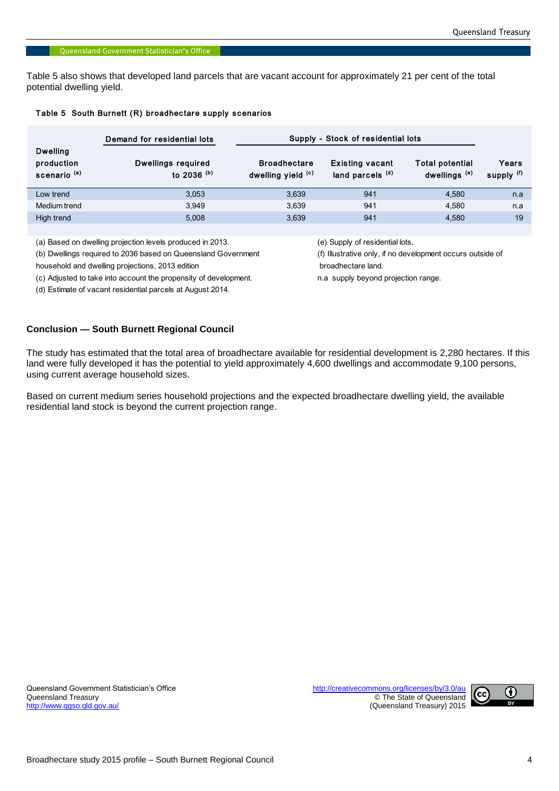Table 5 also shows that developed land parcels that are vacant account for approximately 21 per cent of the total potential dwelling yield.

|  |  |  | Table 5 South Burnett (R) broadhectare supply scenarios |  |  |
|--|--|--|---------------------------------------------------------|--|--|
|--|--|--|---------------------------------------------------------|--|--|

|                                                          | Demand for residential lots                | Supply - Stock of residential lots        |                                                       |                                                    |                     |  |  |
|----------------------------------------------------------|--------------------------------------------|-------------------------------------------|-------------------------------------------------------|----------------------------------------------------|---------------------|--|--|
| <b>Dwelling</b><br>production<br>scenario <sup>(a)</sup> | <b>Dwellings required</b><br>to 2036 $(b)$ | <b>Broadhectare</b><br>dwelling yield (c) | <b>Existing vacant</b><br>land parcels <sup>(d)</sup> | <b>Total potential</b><br>dwellings <sup>(e)</sup> | Years<br>supply (f) |  |  |
| Low trend                                                | 3.053                                      | 3,639                                     | 941                                                   | 4.580                                              | n.a                 |  |  |
| Medium trend                                             | 3.949                                      | 3.639                                     | 941                                                   | 4.580                                              | n.a                 |  |  |
| High trend                                               | 5,008                                      | 3,639                                     | 941                                                   | 4,580                                              | 19                  |  |  |

(a) Based on dwelling projection levels produced in 2013. (e) Supply of residential lots.

(b) Dwellings required to 2036 based on Queensland Government (f) Illustrative only, if no development occurs outside of

household and dwelling projections, 2013 edition broadhectare land.

(c) Adjusted to take into account the propensity of development. n.a supply beyond projection range.

(d) Estimate of vacant residential parcels at August 2014.

**Conclusion — South Burnett Regional Council**

The study has estimated that the total area of broadhectare available for residential development is 2,280 hectares. If this land were fully developed it has the potential to yield approximately 4,600 dwellings and accommodate 9,100 persons, using current average household sizes.

Based on current medium series household projections and the expected broadhectare dwelling yield, the available residential land stock is beyond the current projection range.